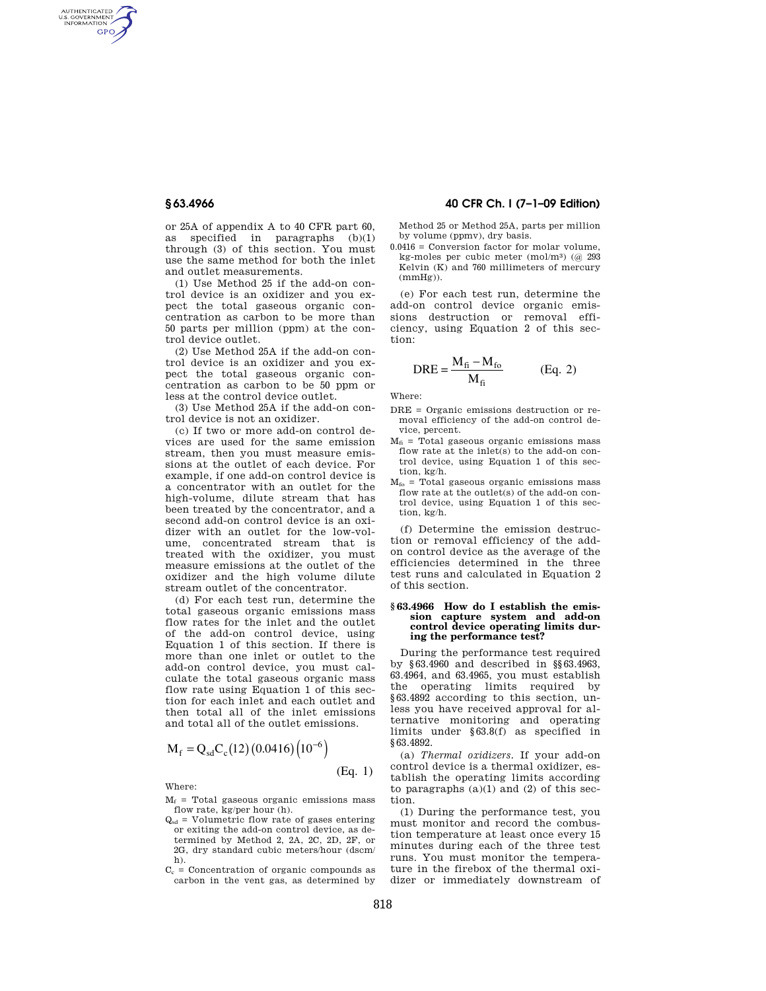AUTHENTICATED<br>U.S. GOVERNMENT<br>INFORMATION **GPO** 

> or 25A of appendix A to 40 CFR part 60, as specified in paragraphs (b)(1) through  $(3)$  of this section. You must use the same method for both the inlet and outlet measurements.

> (1) Use Method 25 if the add-on control device is an oxidizer and you expect the total gaseous organic concentration as carbon to be more than 50 parts per million (ppm) at the control device outlet.

> (2) Use Method 25A if the add-on control device is an oxidizer and you expect the total gaseous organic concentration as carbon to be 50 ppm or less at the control device outlet.

> (3) Use Method 25A if the add-on control device is not an oxidizer.

> (c) If two or more add-on control devices are used for the same emission stream, then you must measure emissions at the outlet of each device. For example, if one add-on control device is a concentrator with an outlet for the high-volume, dilute stream that has been treated by the concentrator, and a second add-on control device is an oxidizer with an outlet for the low-volume, concentrated stream that is treated with the oxidizer, you must measure emissions at the outlet of the oxidizer and the high volume dilute stream outlet of the concentrator.

> (d) For each test run, determine the total gaseous organic emissions mass flow rates for the inlet and the outlet of the add-on control device, using Equation 1 of this section. If there is more than one inlet or outlet to the add-on control device, you must calculate the total gaseous organic mass flow rate using Equation 1 of this section for each inlet and each outlet and then total all of the inlet emissions and total all of the outlet emissions.

$$
M_f = Q_{sd} C_c (12) (0.0416) (10^{-6})
$$

Where:

- $M_f$  = Total gaseous organic emissions mass flow rate, kg/per hour (h).
- $Q_{sd}$  = Volumetric flow rate of gases entering or exiting the add-on control device, as determined by Method 2, 2A, 2C, 2D, 2F, or 2G, dry standard cubic meters/hour (dscm/ h).
- $C_c$  = Concentration of organic compounds as carbon in the vent gas, as determined by

# **§ 63.4966 40 CFR Ch. I (7–1–09 Edition)**

Method 25 or Method 25A, parts per million by volume (ppmv), dry basis.

0.0416 = Conversion factor for molar volume, kg-moles per cubic meter  $(mol/m<sup>3</sup>)$   $(a)$  293 Kelvin (K) and 760 millimeters of mercury  $(mmHg)$ ).

(e) For each test run, determine the add-on control device organic emissions destruction or removal efficiency, using Equation 2 of this section:

$$
DRE = \frac{M_{fi} - M_{fo}}{M_{fi}} \qquad (Eq. 2)
$$

Where:

- DRE = Organic emissions destruction or removal efficiency of the add-on control device, percent.
- $M<sub>fi</sub>$  = Total gaseous organic emissions mass flow rate at the inlet(s) to the add-on control device, using Equation 1 of this section, kg/h.
- $M_{fo}$  = Total gaseous organic emissions mass flow rate at the outlet(s) of the add-on control device, using Equation 1 of this section, kg/h.

(f) Determine the emission destruction or removal efficiency of the addon control device as the average of the efficiencies determined in the three test runs and calculated in Equation 2 of this section.

### **§ 63.4966 How do I establish the emission capture system and add-on control device operating limits during the performance test?**

During the performance test required by §63.4960 and described in §§63.4963, 63.4964, and 63.4965, you must establish the operating limits required by §63.4892 according to this section, unless you have received approval for alternative monitoring and operating limits under §63.8(f) as specified in §63.4892.

(a) *Thermal oxidizers.* If your add-on control device is a thermal oxidizer, establish the operating limits according to paragraphs  $(a)(1)$  and  $(2)$  of this section.

(1) During the performance test, you must monitor and record the combustion temperature at least once every 15 minutes during each of the three test runs. You must monitor the temperature in the firebox of the thermal oxidizer or immediately downstream of

(Eq. 1)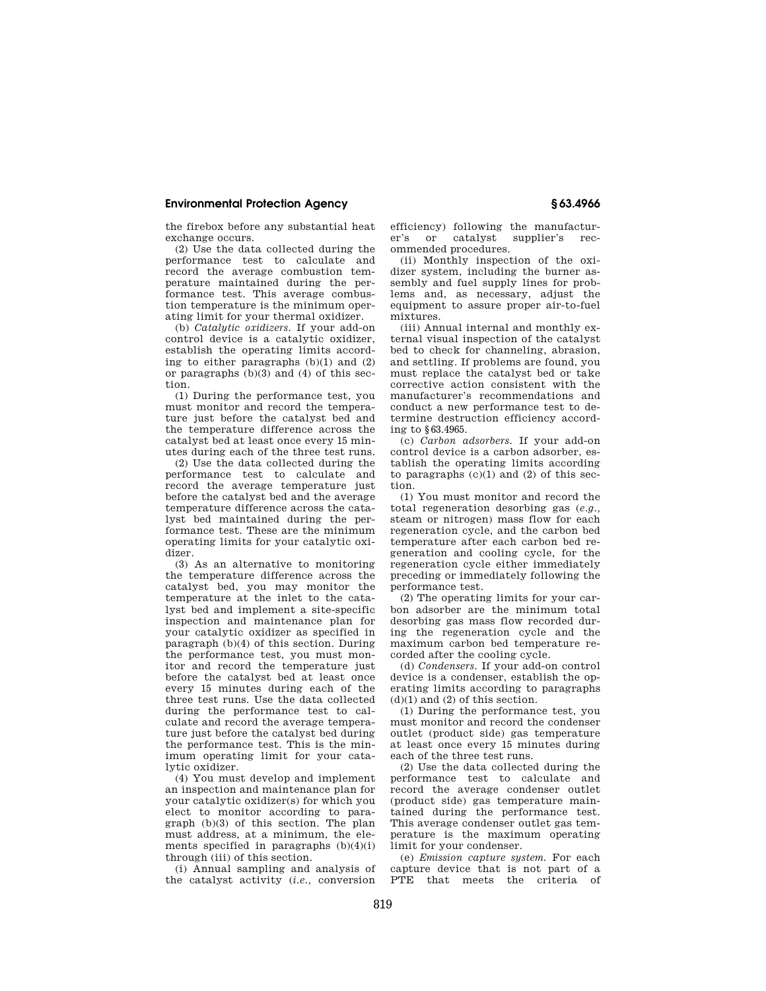## **Environmental Protection Agency § 63.4966**

the firebox before any substantial heat exchange occurs.

(2) Use the data collected during the performance test to calculate and record the average combustion temperature maintained during the performance test. This average combustion temperature is the minimum operating limit for your thermal oxidizer.

(b) *Catalytic oxidizers.* If your add-on control device is a catalytic oxidizer, establish the operating limits according to either paragraphs (b)(1) and (2) or paragraphs (b)(3) and (4) of this section.

(1) During the performance test, you must monitor and record the temperature just before the catalyst bed and the temperature difference across the catalyst bed at least once every 15 minutes during each of the three test runs.

(2) Use the data collected during the performance test to calculate and record the average temperature just before the catalyst bed and the average temperature difference across the catalyst bed maintained during the performance test. These are the minimum operating limits for your catalytic oxidizer.

(3) As an alternative to monitoring the temperature difference across the catalyst bed, you may monitor the temperature at the inlet to the catalyst bed and implement a site-specific inspection and maintenance plan for your catalytic oxidizer as specified in paragraph (b)(4) of this section. During the performance test, you must monitor and record the temperature just before the catalyst bed at least once every 15 minutes during each of the three test runs. Use the data collected during the performance test to calculate and record the average temperature just before the catalyst bed during the performance test. This is the minimum operating limit for your catalytic oxidizer.

(4) You must develop and implement an inspection and maintenance plan for your catalytic oxidizer(s) for which you elect to monitor according to paragraph  $(b)(3)$  of this section. The plan must address, at a minimum, the elements specified in paragraphs  $(b)(4)(i)$ through (iii) of this section.

(i) Annual sampling and analysis of the catalyst activity (*i.e.,* conversion

efficiency) following the manufacturer's or catalyst supplier's recommended procedures.

(ii) Monthly inspection of the oxidizer system, including the burner assembly and fuel supply lines for problems and, as necessary, adjust the equipment to assure proper air-to-fuel mixtures.

(iii) Annual internal and monthly external visual inspection of the catalyst bed to check for channeling, abrasion, and settling. If problems are found, you must replace the catalyst bed or take corrective action consistent with the manufacturer's recommendations and conduct a new performance test to determine destruction efficiency according to §63.4965.

(c) *Carbon adsorbers.* If your add-on control device is a carbon adsorber, establish the operating limits according to paragraphs  $(c)(1)$  and  $(2)$  of this section.

(1) You must monitor and record the total regeneration desorbing gas (*e.g.,*  steam or nitrogen) mass flow for each regeneration cycle, and the carbon bed temperature after each carbon bed regeneration and cooling cycle, for the regeneration cycle either immediately preceding or immediately following the performance test.

(2) The operating limits for your carbon adsorber are the minimum total desorbing gas mass flow recorded during the regeneration cycle and the maximum carbon bed temperature recorded after the cooling cycle.

(d) *Condensers.* If your add-on control device is a condenser, establish the operating limits according to paragraphs  $(d)(1)$  and  $(2)$  of this section.

(1) During the performance test, you must monitor and record the condenser outlet (product side) gas temperature at least once every 15 minutes during each of the three test runs.

(2) Use the data collected during the performance test to calculate and record the average condenser outlet (product side) gas temperature maintained during the performance test. This average condenser outlet gas temperature is the maximum operating limit for your condenser.

(e) *Emission capture system.* For each capture device that is not part of a PTE that meets the criteria of